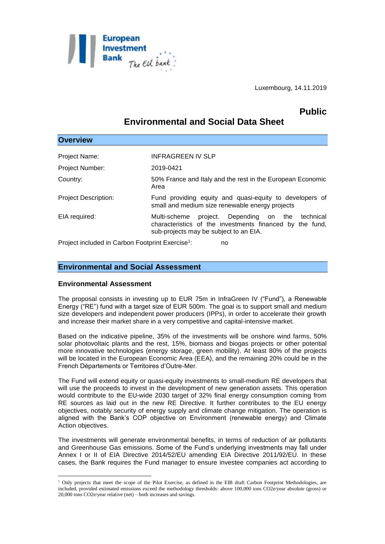

Luxembourg, 14.11.2019

# **Public**

# **Environmental and Social Data Sheet**

| <b>Overview</b>                                                    |                                                                                                                                                           |
|--------------------------------------------------------------------|-----------------------------------------------------------------------------------------------------------------------------------------------------------|
| Project Name:                                                      | <b>INFRAGREEN IV SLP</b>                                                                                                                                  |
| <b>Project Number:</b>                                             | 2019-0421                                                                                                                                                 |
| Country:                                                           | 50% France and Italy and the rest in the European Economic                                                                                                |
|                                                                    | Area                                                                                                                                                      |
| <b>Project Description:</b>                                        | Fund providing equity and quasi-equity to developers of<br>small and medium size renewable energy projects                                                |
| EIA required:                                                      | project. Depending on the technical<br>Multi-scheme<br>characteristics of the investments financed by the fund,<br>sub-projects may be subject to an EIA. |
| Project included in Carbon Footprint Exercise <sup>1</sup> :<br>no |                                                                                                                                                           |

### **Environmental and Social Assessment**

### **Environmental Assessment**

<u>.</u>

The proposal consists in investing up to EUR 75m in InfraGreen IV ("Fund"), a Renewable Energy ("RE") fund with a target size of EUR 500m. The goal is to support small and medium size developers and independent power producers (IPPs), in order to accelerate their growth and increase their market share in a very competitive and capital-intensive market.

Based on the indicative pipeline, 35% of the investments will be onshore wind farms, 50% solar photovoltaic plants and the rest, 15%, biomass and biogas projects or other potential more innovative technologies (energy storage, green mobility). At least 80% of the projects will be located in the European Economic Area (EEA), and the remaining 20% could be in the French Départements or Territoires d'Outre-Mer.

The Fund will extend equity or quasi-equity investments to small-medium RE developers that will use the proceeds to invest in the development of new generation assets. This operation would contribute to the EU-wide 2030 target of 32% final energy consumption coming from RE sources as laid out in the new RE Directive. It further contributes to the EU energy objectives, notably security of energy supply and climate change mitigation. The operation is aligned with the Bank's COP objective on Environment (renewable energy) and Climate Action objectives.

The investments will generate environmental benefits, in terms of reduction of air pollutants and Greenhouse Gas emissions. Some of the Fund's underlying investments may fall under Annex I or II of EIA Directive 2014/52/EU amending EIA Directive 2011/92/EU. In these cases, the Bank requires the Fund manager to ensure investee companies act according to

 $1$  Only projects that meet the scope of the Pilot Exercise, as defined in the EIB draft Carbon Footprint Methodologies, are included, provided estimated emissions exceed the methodology thresholds: above 100,000 tons CO2e/year absolute (gross) or 20,000 tons CO2e/year relative (net) – both increases and savings.